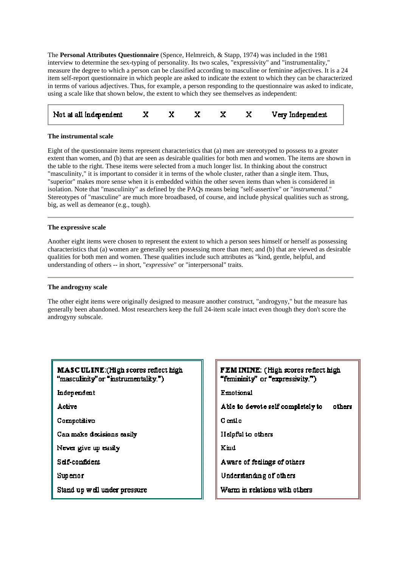The **Personal Attributes Questionnaire** (Spence, Helmreich, & Stapp, 1974) was included in the 1981 interview to determine the sex-typing of personality. Its two scales, "expressivity" and "instrumentality," measure the degree to which a person can be classified according to masculine or feminine adjectives. It is a 24 item self-report questionnaire in which people are asked to indicate the extent to which they can be characterized in terms of various adjectives. Thus, for example, a person responding to the questionnaire was asked to indicate, using a scale like that shown below, the extent to which they see themselves as independent:

| Not at all independent $X$ |  |  |  | Very Independent |
|----------------------------|--|--|--|------------------|
|----------------------------|--|--|--|------------------|

## **The instrumental scale**

Eight of the questionnaire items represent characteristics that (a) men are stereotyped to possess to a greater extent than women, and (b) that are seen as desirable qualities for both men and women. The items are shown in the table to the right. These items were selected from a much longer list. In thinking about the construct "masculinity," it is important to consider it in terms of the whole cluster, rather than a single item. Thus, "superior" makes more sense when it is embedded within the other seven items than when is considered in isolation. Note that "masculinity" as defined by the PAQs means being "self-assertive" or "*instrumental*." Stereotypes of "masculine" are much more broadbased, of course, and include physical qualities such as strong, big, as well as demeanor (e.g., tough).

## **The expressive scale**

Another eight items were chosen to represent the extent to which a person sees himself or herself as possessing characteristics that (a) women are generally seen possessing more than men; and (b) that are viewed as desirable qualities for both men and women. These qualities include such attributes as "kind, gentle, helpful, and understanding of others -- in short, "*expressive*" or "interpersonal" traits.

## **The androgyny scale**

The other eight items were originally designed to measure another construct, "androgyny," but the measure has generally been abandoned. Most researchers keep the full 24-item scale intact even though they don't score the androgyny subscale.

| <b>MASCULINE:</b> (High scores reflect high<br>"masculinity" or "instrumentality.") |
|-------------------------------------------------------------------------------------|
| Independent                                                                         |
| <b>Active</b>                                                                       |
| Competitive                                                                         |
| Can make decisions easily                                                           |
| Never give up easily                                                                |
| Self-confident                                                                      |
| Sup erio r                                                                          |
| Stand up well under pressure                                                        |

**FEMININE:** (High scores reflect high) "femininity" or "expressivity.") **Emotional** Able to devote self completely to others G entie Helpful to others Kind Aware of feelings of others Understanding of others Warm in relations with others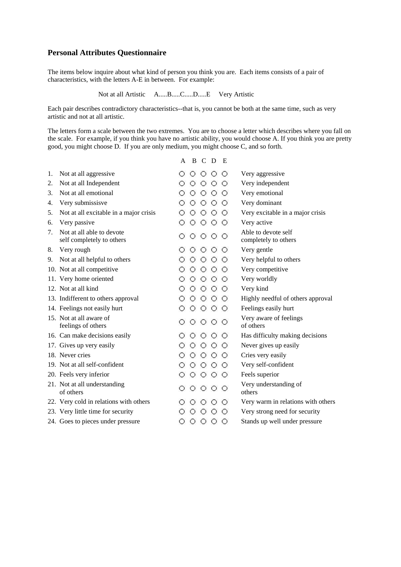# **Personal Attributes Questionnaire**

The items below inquire about what kind of person you think you are. Each items consists of a pair of characteristics, with the letters A-E in between. For example:

Not at all Artistic A.....B.....C.....D.....E Very Artistic

Each pair describes contradictory characteristics--that is, you cannot be both at the same time, such as very artistic and not at all artistic.

The letters form a scale between the two extremes. You are to choose a letter which describes where you fall on the scale. For example, if you think you have no artistic ability, you would choose A. If you think you are pretty good, you might choose D. If you are only medium, you might choose C, and so forth.

|    |                                                        | A |            | B C             | D               | E       |                                             |
|----|--------------------------------------------------------|---|------------|-----------------|-----------------|---------|---------------------------------------------|
| 1. | Not at all aggressive                                  |   | $\circ$    |                 | $\circ$ $\circ$ | ⊙       | Very aggressive                             |
| 2. | Not at all Independent                                 |   | $\bigcirc$ | $\circ$         | $\circ$         | О       | Very independent                            |
| 3. | Not at all emotional                                   |   | Ω          | $\circ$         | $\circ$         | O       | Very emotional                              |
| 4. | Very submissisve                                       | О | О          | ⊙               | ⊙               | O       | Very dominant                               |
| 5. | Not at all excitable in a major crisis                 |   | O          | $\circ$         | $\bigcirc$      | О       | Very excitable in a major crisis            |
| 6. | Very passive                                           |   | О          | $\circ$         | $\circ$         | O       | Very active                                 |
| 7. | Not at all able to devote<br>self completely to others |   | $\circ$    | $\circ$ $\circ$ |                 | $\circ$ | Able to devote self<br>completely to others |
| 8. | Very rough                                             |   | ⊖          | O               | $\circ$         | ⊖       | Very gentle                                 |
| 9. | Not at all helpful to others                           |   | $\circ$    | $\circ$         | $\circ$         | О       | Very helpful to others                      |
|    | 10. Not at all competitive                             |   | $^{(+)}$   | O               | $\bigcirc$      | O       | Very competitive                            |
|    | 11. Very home oriented                                 | О | $\circ$    | О               | $\circ$         | ⊖       | Very worldly                                |
|    | 12. Not at all kind                                    | O | Ω          | $\circ$         | $\circ$         | ⊖       | Very kind                                   |
|    | 13. Indifferent to others approval                     |   | $^{(+)}$   | $\circ$         | ⊙               | О       | Highly needful of others approval           |
|    | 14. Feelings not easily hurt                           |   | Ω          | $\circ$         | $\circ$         | ⊖       | Feelings easily hurt                        |
|    | 15. Not at all aware of<br>feelings of others          |   | ⊙          | $\circ$ $\circ$ |                 | $\circ$ | Very aware of feelings<br>of others         |
|    | 16. Can make decisions easily                          |   | О          | О               | ⊖               | O       | Has difficulty making decisions             |
|    | 17. Gives up very easily                               |   | ⊖          | $\circ$         | $\circ$         | Ο       | Never gives up easily                       |
|    | 18. Never cries                                        |   | Ο          | О               | $\bigcirc$      | О       | Cries very easily                           |
|    | 19. Not at all self-confident                          |   | O          | $\circ$         | $\circ$         | O       | Very self-confident                         |
|    | 20. Feels very inferior                                | О | О          | $\circ$         | $\circ$         | $\circ$ | Feels superior                              |
|    | 21. Not at all understanding<br>of others              |   | $\circ$    |                 | $\circ$ $\circ$ | $\circ$ | Very understanding of<br>others             |
|    | 22. Very cold in relations with others                 |   |            |                 |                 |         | Very warm in relations with others          |
|    | 23. Very little time for security                      |   |            |                 |                 | O       | Very strong need for security               |
|    | 24. Goes to pieces under pressure                      | О | О          | О               | ○               | О       | Stands up well under pressure               |